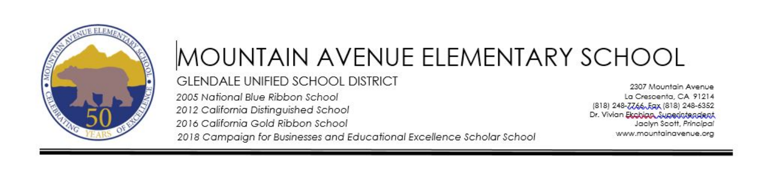

# MOUNTAIN AVENUE ELEMENTARY SCHOOL **GLENDALE UNIFIED SCHOOL DISTRICT** 2005 National Blue Ribbon School

2012 California Distinguished School 2016 California Gold Ribbon School

2307 Mountain Avenue La Crescenta, CA 91214 (818) 248-7766, Eqx (818) 248-6352 Dr. Vivian Ekobian Superintendent Jaclyn Scott, Principal www.mountainavenue.org

2018 Campaian for Businesses and Educational Excellence Scholar School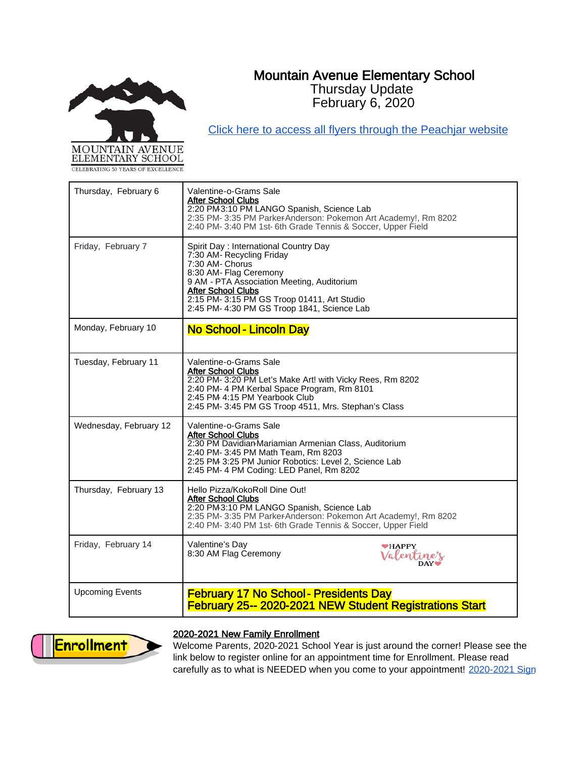# Mountain Avenue Elementary School Thursday Update

February 6, 2020



[Click here to access all flyers through the Peachjar website](https://app.peachjar.com/flyers/all/schools/55122)

| Thursday, February 6   | Valentine-o-Grams Sale<br><b>After School Clubs</b><br>2:20 PM3:10 PM LANGO Spanish, Science Lab<br>2:35 PM-3:35 PM ParkerAnderson: Pokemon Art Academy!, Rm 8202<br>2:40 PM-3:40 PM 1st-6th Grade Tennis & Soccer, Upper Field                                                          |  |
|------------------------|------------------------------------------------------------------------------------------------------------------------------------------------------------------------------------------------------------------------------------------------------------------------------------------|--|
| Friday, February 7     | Spirit Day: International Country Day<br>7:30 AM- Recycling Friday<br>7:30 AM- Chorus<br>8:30 AM- Flag Ceremony<br>9 AM - PTA Association Meeting, Auditorium<br><b>After School Clubs</b><br>2:15 PM- 3:15 PM GS Troop 01411, Art Studio<br>2:45 PM- 4:30 PM GS Troop 1841, Science Lab |  |
| Monday, February 10    | <b>No School - Lincoln Day</b>                                                                                                                                                                                                                                                           |  |
| Tuesday, February 11   | Valentine-o-Grams Sale<br><b>After School Clubs</b><br>2:20 PM-3:20 PM Let's Make Art! with Vicky Rees, Rm 8202<br>2:40 PM-4 PM Kerbal Space Program, Rm 8101<br>2:45 PM 4:15 PM Yearbook Club<br>2:45 PM-3:45 PM GS Troop 4511, Mrs. Stephan's Class                                    |  |
| Wednesday, February 12 | Valentine-o-Grams Sale<br><b>After School Clubs</b><br>2:30 PM Davidian-Mariamian Armenian Class, Auditorium<br>2:40 PM- 3:45 PM Math Team, Rm 8203<br>2:25 PM 3:25 PM Junior Robotics: Level 2, Science Lab<br>2:45 PM- 4 PM Coding: LED Panel, Rm 8202                                 |  |
| Thursday, February 13  | Hello Pizza/KokoRoll Dine Out!<br><b>After School Clubs</b><br>2:20 PM3:10 PM LANGO Spanish, Science Lab<br>2:35 PM-3:35 PM ParkerAnderson: Pokemon Art Academy!, Rm 8202<br>2:40 PM-3:40 PM 1st-6th Grade Tennis & Soccer, Upper Field                                                  |  |
| Friday, February 14    | Valentine's Dav<br><b>WHAPPY</b><br>8:30 AM Flag Ceremony<br>Valentine's                                                                                                                                                                                                                 |  |
| <b>Upcoming Events</b> | <b>February 17 No School - Presidents Day</b><br><b>February 25-- 2020-2021 NEW Student Registrations Start</b>                                                                                                                                                                          |  |



### 2020-2021 New Family Enrollment

Welcome Parents, 2020-2021 School Year is just around the corner! Please see the link below to register online for an appointment time for Enrollment. Please read carefully as to what is NEEDED when you come to your appointment! 2020-2021 Sign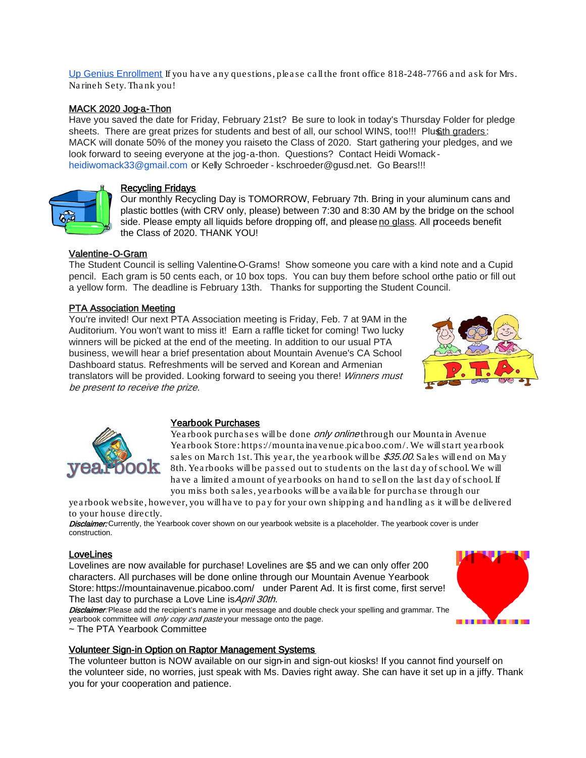[Up Genius Enrollment](https://www.signupgenius.com/go/5080b4daba72ca3fb6-20202021) If you have any questions, please call the front office 818-248-7766 and ask for Mrs. Na rineh Sety. Tha nk you!

### MACK 2020 Jog-a-Thon

Have you saved the date for Friday, February 21st? Be sure to look in today's Thursday Folder for pledge sheets. There are great prizes for students and best of all, our school WINS, too!!! Plus th graders: MACK will donate 50% of the money you raiseto the Class of 2020. Start gathering your pledges, and we look forward to seeing everyone at the jog-a-thon. Questions? Contact Heidi Womack heidiwomack33@gmail.com or Kelly Schroeder - kschroeder@gusd.net. Go Bears!!!



#### Recycling Fridays

Our monthly Recycling Day is TOMORROW, February 7th. Bring in your aluminum cans and plastic bottles (with CRV only, please) between 7:30 and 8:30 AM by the bridge on the school side. Please empty all liquids before dropping off, and please no glass. All proceeds benefit the Class of 2020. THANK YOU!

### Valentine-O-Gram

The Student Council is selling Valentine-O-Grams! Show someone you care with a kind note and a Cupid pencil. Each gram is 50 cents each, or 10 box tops. You can buy them before school orthe patio or fill out a yellow form. The deadline is February 13th. Thanks for supporting the Student Council.

### PTA Association Meeting

You're invited! Our next PTA Association meeting is Friday, Feb. 7 at 9AM in the Auditorium. You won't want to miss it! Earn a raffle ticket for coming! Two lucky winners will be picked at the end of the meeting. In addition to our usual PTA business, we will hear a brief presentation about Mountain Avenue's CA School Dashboard status. Refreshments will be served and Korean and Armenian translators will be provided. Looking forward to seeing you there! Winners must be present to receive the prize.





#### Yearbook Purchases

Yearbook purchases will be done *only online* through our Mountain Avenue Yearbook Store[: https://mounta ina venue.pica boo.com/.](https://mountainavenue.picaboo.com/) We will start yearbook sales on March 1st. This year, the yearbook will be \$35.00. Sales will end on May 8th. Yea rbooks will be pa ssed out to students on the la st da y of school. We will have a limited amount of yearbooks on hand to sell on the last day of school. If you miss both sa les, yea rbooks will be a va ila ble for purcha se through our

yea rbook website, however, you will ha ve to pa y for your own shipping a nd ha ndling a s it will be delivered to your house directly.

Disclaimer: Currently, the Yearbook cover shown on our yearbook website is a placeholder. The yearbook cover is under construction.

#### **LoveLines**

Lovelines are now available for purchase! Lovelines are \$5 and we can only offer 200 characters. All purchases will be done online through our Mountain Avenue Yearbook Store[: https://mountainavenue.picaboo.com/](https://mountainavenue.picaboo.com/) under Parent Ad. It is first come, first serve! The last day to purchase a Love Line is *April 30th*.

Disclaimer: Please add the recipient's name in your message and double check your spelling and grammar. The yearbook committee will *only copy and paste* your message onto the page.

~ The PTA Yearbook Committee

### Volunteer Sign-in Option on Raptor Management Systems

The volunteer button is NOW available on our sign-in and sign-out kiosks! If you cannot find yourself on the volunteer side, no worries, just speak with Ms. Davies right away. She can have it set up in a jiffy. Thank you for your cooperation and patience.

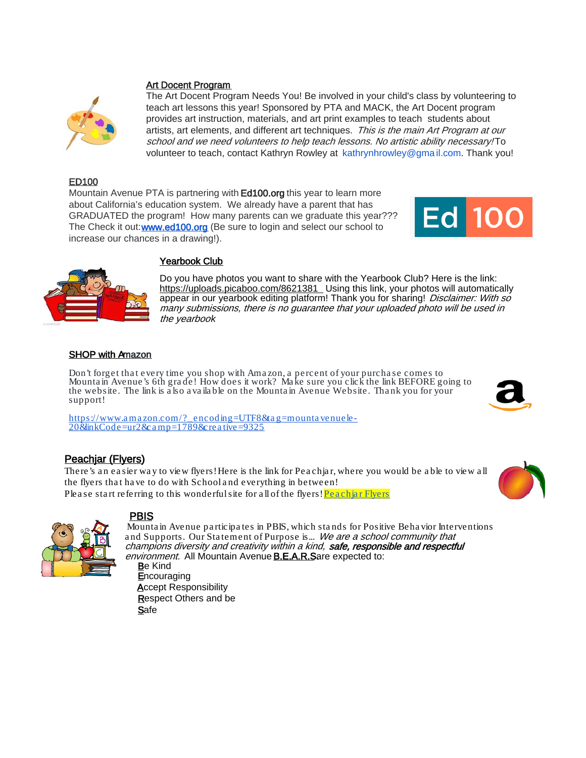#### Art Docent Program



The Art Docent Program Needs You! Be involved in your child's class by volunteering to teach art lessons this year! Sponsored by PTA and MACK, the Art Docent program provides art instruction, materials, and art print examples to teach students about artists, art elements, and different art techniques. This is the main Art Program at our school and we need volunteers to help teach lessons. No artistic ability necessary! To volunteer to teach, contact Kathryn Rowley at kathrynhrowley@gma il.com. Thank you!

### ED100

Mountain Avenue PTA is partnering with Ed100.org this year to learn more about California's education system. We already have a parent that has GRADUATED the program! How many parents can we graduate this year??? The Check it out[: www.ed100.org](http://www.ed100.org/) (Be sure to login and select our school to increase our chances in a drawing!).





### Yearbook Club

Do you have photos you want to share with the Yearbook Club? Here is the link: <https://uploads.picaboo.com/8621381>\_Using this link, your photos will automatically appear in our yearbook editing platform! Thank you for sharing! Disclaimer: With so many submissions, there is no guarantee that your uploaded photo will be used in the yearboo*k*

#### SHOP with Amazon

Don't forget that every time you shop with Amazon, a percent of your purchase comes to Mounta in Avenue's 6th gra de! How does it work? Ma ke sure you click the link BEFORE going to the website. The link is a lso a va ila ble on the Mounta in Avenue Website. Tha nk you for your support!

[https://www.a ma zon.com/?\\_encoding=UTF8&ta g=mounta venuele](https://www.amazon.com/?_encoding=UTF8&tag=mountavenuele-20&linkCode=ur2&camp=1789&creative=9325) - [20&linkCode=ur2&ca mp=1789&crea tive=9325](https://www.amazon.com/?_encoding=UTF8&tag=mountavenuele-20&linkCode=ur2&camp=1789&creative=9325)

## Peachjar (Flyers)

There's a n ea sier wa y to view flyers! Here is the link for Pea chja r, where you would be a ble to view a ll the flyers that have to do with School and everything in between! Please start referring to this wonderful site for all of the flyers! Peachiar Flyers





### PBIS

Mounta in Avenue pa rticipa tes in PBIS, which sta nds for Positive Beha vior Interventions and Supports. Our Statement of Purpose is... We are a school community that champions diversity and creativity within a kind, safe, responsible and respectful environment. All Mountain Avenue **B.E.A.R.S**are expected to:

Be Kind **Encouraging Accept Responsibility** Respect Others and be **Safe**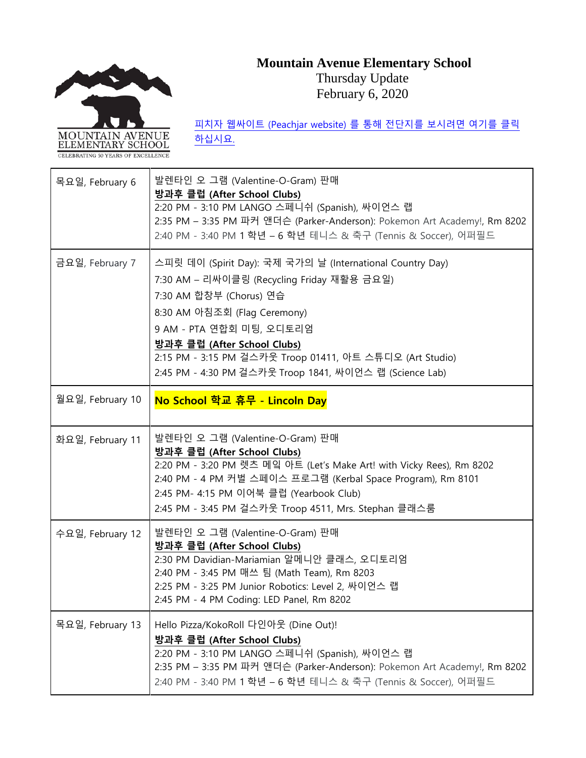# **Mountain Avenue Elementary School**



Thursday Update February 6, 2020

CELEBRATING 50 YEARS OF EXCELLENC 목요일, February 6 발렌타인 오 그램 (Valentine-O-Gram) 판매 **방과후 클럽 (After School Clubs)** 2:20 PM - 3:10 PM LANGO 스페니쉬 (Spanish), 싸이언스 랩 2:35 PM – 3:35 PM 파커 앤더슨 (Parker-Anderson): Pokemon Art Academy!, Rm 8202 2:40 PM - 3:40 PM 1 학년 – 6 학년 테니스 & 축구 (Tennis & Soccer), 어퍼필드 금요일, February 7 | 스피릿 데이 (Spirit Day): 국제 국가의 날 (International Country Day) 7:30 AM – 리싸이클링 (Recycling Friday 재활용 금요일) 7:30 AM 합창부 (Chorus) 연습 8:30 AM 아침조회 (Flag Ceremony) 9 AM - PTA 연합회 미팅, 오디토리엄 **방과후 클럽 (After School Clubs)** 2:15 PM - 3:15 PM 걸스카웃 Troop 01411, 아트 스튜디오 (Art Studio) 2:45 PM - 4:30 PM 걸스카웃 Troop 1841, 싸이언스 랩 (Science Lab) 월요일, February 10 **No School 학교 휴무 - Lincoln Day**  화요일, February 11 발렌타인 오 그램 (Valentine-O-Gram) 판매 **방과후 클럽 (After School Clubs)** 2:20 PM - 3:20 PM 렛츠 메잌 아트 (Let's Make Art! with Vicky Rees), Rm 8202 2:40 PM - 4 PM 커벌 스페이스 프로그램 (Kerbal Space Program), Rm 8101 2:45 PM- 4:15 PM 이어북 클럽 (Yearbook Club) 2:45 PM - 3:45 PM 걸스카웃 Troop 4511, Mrs. Stephan 클래스룸 수요일, February 12 발렌타인 오 그램 (Valentine-O-Gram) 판매 **방과후 클럽 (After School Clubs)** 2:30 PM Davidian-Mariamian 알메니안 클래스, 오디토리엄 2:40 PM - 3:45 PM 매쓰 팀 (Math Team), Rm 8203 2:25 PM - 3:25 PM Junior Robotics: Level 2, 싸이언스 랩 2:45 PM - 4 PM Coding: LED Panel, Rm 8202 목요일, February 13 Hello Pizza/KokoRoll 다인아웃 (Dine Out)! **방과후 클럽 (After School Clubs)** 2:20 PM - 3:10 PM LANGO 스페니쉬 (Spanish), 싸이언스 랩 2:35 PM – 3:35 PM 파커 앤더슨 (Parker-Anderson): Pokemon Art Academy!, Rm 8202

2:40 PM - 3:40 PM 1 학년 – 6 학년 테니스 & 축구 (Tennis & Soccer), 어퍼필드

피치자 웹싸이트 [\(Peachjar website\)](https://app.peachjar.com/flyers/all/schools/55122) 를 통해 전단지를 보시려면 여기를 클릭 [하십시요](https://app.peachjar.com/flyers/all/schools/55122).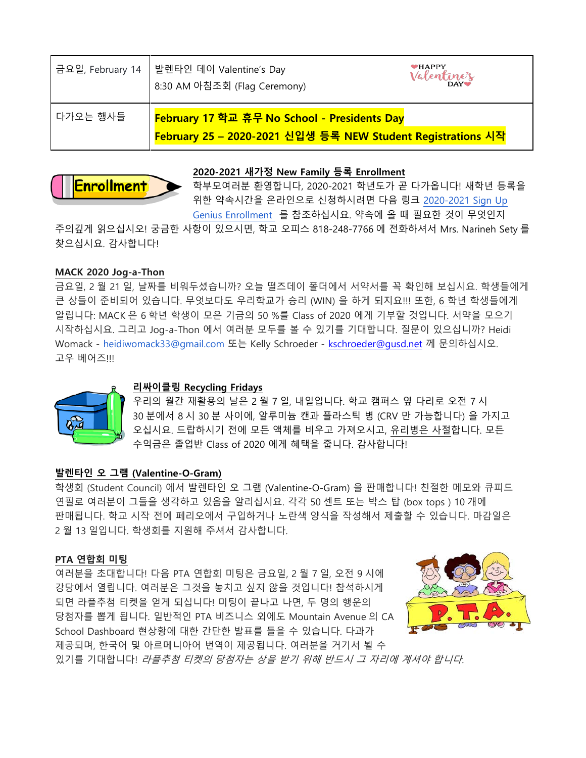|           | 금요일, February 14   발렌타인 데이 Valentine's Day<br>8:30 AM 아침조회 (Flag Ceremony)                                                                   | $\bullet$ HAPPY<br>Valentine's |
|-----------|----------------------------------------------------------------------------------------------------------------------------------------------|--------------------------------|
| ┃다가오는 행사들 | <mark>February 17 학교 휴무 No School - Presidents Day</mark><br>$\mid$ <mark>February 25 – 2020-2021 신입생 등록 NEW Student Registrations 시작</mark> |                                |

## **2020-2021 새가정 New Family 등록 Enrollment Enrollment**

학부모여러분 환영합니다, 2020-2021 학년도가 곧 다가옵니다! 새학년 등록을 위한 약속시간을 온라인으로 신청하시려면 다음 링크 [2020-2021 Sign Up](https://www.signupgenius.com/go/5080b4daba72ca3fb6-20202021)  [Genius Enrollment](https://www.signupgenius.com/go/5080b4daba72ca3fb6-20202021) 를 참조하십시요. 약속에 올 때 필요한 것이 무엇인지

주의깊게 읽으십시오! 궁금한 사항이 있으시면, 학교 오피스 818-248-7766 에 전화하셔서 Mrs. Narineh Sety 를 찾으십시요. 감사합니다!

## **MACK 2020 Jog-a-Thon**

금요일, 2 월 21 일, 날짜를 비워두셨습니까? 오늘 떨즈데이 폴더에서 서약서를 꼭 확인해 보십시요. 학생들에게 큰 상들이 준비되어 있습니다. 무엇보다도 우리학교가 승리 (WIN) 을 하게 되지요!!! 또한, 6 학년 학생들에게 알립니다: MACK 은 6 학년 학생이 모은 기금의 50 %를 Class of 2020 에게 기부할 것입니다. 서약을 모으기 시작하십시요. 그리고 Jog-a-Thon 에서 여러분 모두를 볼 수 있기를 기대합니다. 질문이 있으십니까? Heidi Womack - heidiwomack33@gmail.com 또는 Kelly Schroeder - [kschroeder@gusd.net](mailto:kschroeder@gusd.net) 께 문의하십시오. 고우 베어즈!!!



### **리싸이클링 Recycling Fridays**

우리의 월간 재활용의 날은 2 월 7 일, 내일입니다. 학교 캠퍼스 옆 다리로 오전 7 시 30 분에서 8 시 30 분 사이에, 알루미늄 캔과 플라스틱 병 (CRV 만 가능합니다) 을 가지고 오십시요. 드랍하시기 전에 모든 액체를 비우고 가져오시고, 유리병은 사절합니다. 모든 수익금은 졸업반 Class of 2020 에게 혜택을 줍니다. 감사합니다!

### **발렌타인 오 그램 (Valentine-O-Gram)**

학생회 (Student Council) 에서 발렌타인 오 그램 (Valentine-O-Gram) 을 판매합니다! 친절한 메모와 큐피드 연필로 여러분이 그들을 생각하고 있음을 알리십시요. 각각 50 센트 또는 박스 탑 (box tops ) 10 개에 판매됩니다. 학교 시작 전에 페리오에서 구입하거나 노란색 양식을 작성해서 제출할 수 있습니다. 마감일은 2 월 13 일입니다. 학생회를 지원해 주셔서 감사합니다.

### **PTA 연합회 미팅**

여러분을 초대합니다! 다음 PTA 연합회 미팅은 금요일, 2 월 7 일, 오전 9 시에 강당에서 열립니다. 여러분은 그것을 놓치고 싶지 않을 것입니다! 참석하시게 되면 라플추첨 티켓을 얻게 되십니다! 미팅이 끝나고 나면, 두 명의 행운의 당첨자를 뽑게 됩니다. 일반적인 PTA 비즈니스 외에도 Mountain Avenue 의 CA School Dashboard 현상황에 대한 간단한 발표를 들을 수 있습니다. 다과가 제공되며, 한국어 및 아르메니아어 번역이 제공됩니다. 여러분을 거기서 뵐 수



있기를 기대합니다! 라플추첨 티켓의 당첨자는 상을 받기 위해 반드시 <sup>그</sup> 자리에 계셔야 합니다.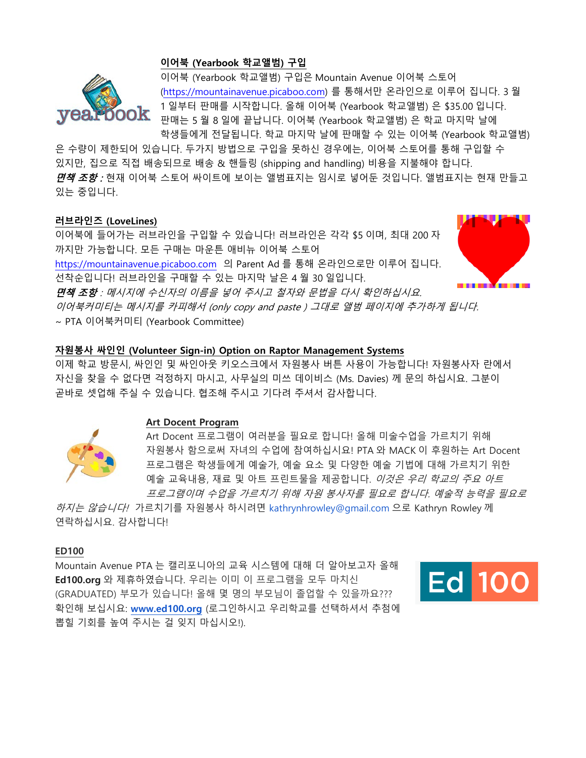### **이어북 (Yearbook 학교앨범) 구입**



이어북 (Yearbook 학교앨범) 구입은 Mountain Avenue 이어북 스토어 [\(https://mountainavenue.picaboo.com\)](https://mountainavenue.picaboo.com/) 를 통해서만 온라인으로 이루어 집니다. 3 월 1 일부터 판매를 시작합니다. 올해 이어북 (Yearbook 학교앨범) 은 \$35.00 입니다. 판매는 5 월 8 일에 끝납니다. 이어북 (Yearbook 학교앨범) 은 학교 마지막 날에 학생들에게 전달됩니다. 학교 마지막 날에 판매할 수 있는 이어북 (Yearbook 학교앨범)

은 수량이 제한되어 있습니다. 두가지 방법으로 구입을 못하신 경우에는, 이어북 스토어를 통해 구입할 수 있지만, 집으로 직접 배송되므로 배송 & 핸들링 (shipping and handling) 비용을 지불해야 합니다. *면책 조항 :* 현재 이어북 스토어 싸이트에 보이는 앨범표지는 임시로 넣어둔 것입니다. 앨범표지는 현재 만들고 있는 중입니다.

#### **러브라인즈 (LoveLines)**

이어북에 들어가는 러브라인을 구입할 수 있습니다! 러브라인은 각각 \$5 이며, 최대 200 자 까지만 가능합니다. 모든 구매는 마운튼 애비뉴 이어북 스토어

[https://mountainavenue.picaboo.com](https://mountainavenue.picaboo.com/) 의 Parent Ad 를 통해 온라인으로만 이루어 집니다. 선착순입니다! 러브라인을 구매할 수 있는 마지막 날은 4 월 30 일입니다.



면책 조항 : 메시지에 수신자의 이름을 넣어 주시고 철자와 문법을 다시 확인하십시요.

이어북커미티는 메시지를 카피해서 (only copy and paste ) 그대로 앨범 페이지에 추가하게 됩니다. ~ PTA 이어북커미티 (Yearbook Committee)

### **자원봉사 싸인인 (Volunteer Sign-in) Option on Raptor Management Systems**

이제 학교 방문시, 싸인인 및 싸인아웃 키오스크에서 자원봉사 버튼 사용이 가능합니다! 자원봉사자 란에서 자신을 찾을 수 없다면 걱정하지 마시고, 사무실의 미쓰 데이비스 (Ms. Davies) 께 문의 하십시요. 그분이 곧바로 셋업해 주실 수 있습니다. 협조해 주시고 기다려 주셔서 감사합니다.



### **Art Docent Program**

Art Docent 프로그램이 여러분을 필요로 합니다! 올해 미술수업을 가르치기 위해 자원봉사 함으로써 자녀의 수업에 참여하십시요! PTA 와 MACK 이 후원하는 Art Docent 프로그램은 학생들에게 예술가, 예술 요소 및 다양한 예술 기법에 대해 가르치기 위한 예술 교육내용, 재료 및 아트 프린트물을 제공합니다. 이것은 우리 학교의 주요 아트 프로그램이며 수업을 가르치기 위해 자원 봉사자를 필요로 합니다. 예술적 능력을 필요로

하지는 않습니다! 가르치기를 자원봉사 하시려면 kathrynhrowley@gmail.com 으로 Kathryn Rowley 께 연락하십시요. 감사합니다!

#### **ED100**

Mountain Avenue PTA 는 캘리포니아의 교육 시스템에 대해 더 알아보고자 올해 **Ed100.org** 와 제휴하였습니다. 우리는 이미 이 프로그램을 모두 마치신 (GRADUATED) 부모가 있습니다! 올해 몇 명의 부모님이 졸업할 수 있을까요??? 확인해 보십시요: **[www.ed100.org](http://www.ed100.org/)** (로그인하시고 우리학교를 선택하셔서 추첨에 뽑힐 기회를 높여 주시는 걸 잊지 마십시오!).